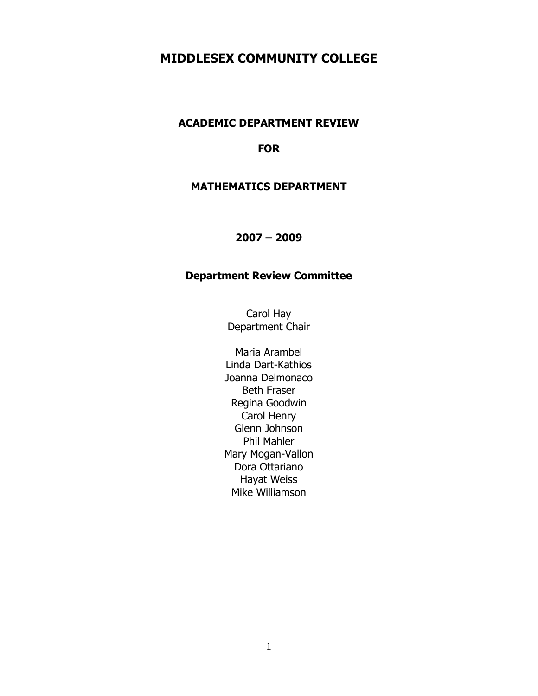# **MIDDLESEX COMMUNITY COLLEGE**

## **ACADEMIC DEPARTMENT REVIEW**

#### **FOR**

#### **MATHEMATICS DEPARTMENT**

#### **2007 – 2009**

## **Department Review Committee**

Carol Hay Department Chair

Maria Arambel Linda Dart-Kathios Joanna Delmonaco Beth Fraser Regina Goodwin Carol Henry Glenn Johnson Phil Mahler Mary Mogan-Vallon Dora Ottariano Hayat Weiss Mike Williamson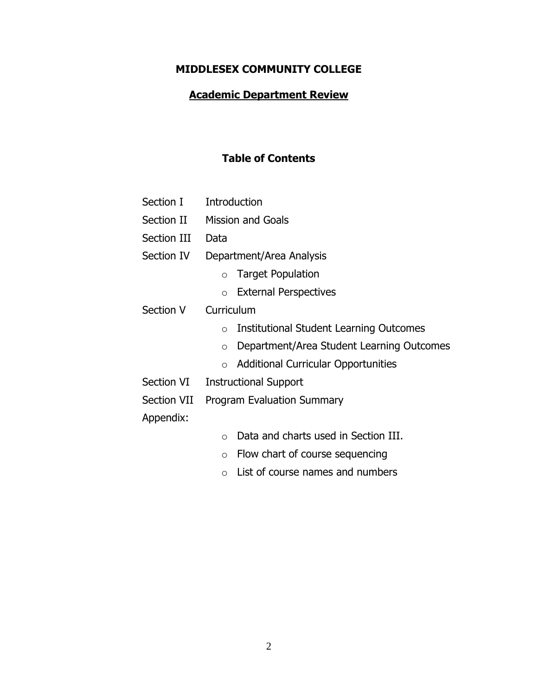## **MIDDLESEX COMMUNITY COLLEGE**

## **Academic Department Review**

# **Table of Contents**

| Section I   | Introduction                                          |  |  |  |
|-------------|-------------------------------------------------------|--|--|--|
| Section II  | <b>Mission and Goals</b>                              |  |  |  |
| Section III | Data                                                  |  |  |  |
| Section IV  | Department/Area Analysis                              |  |  |  |
|             | <b>Target Population</b><br>$\circ$                   |  |  |  |
|             | <b>External Perspectives</b><br>$\circ$               |  |  |  |
| Section V   | Curriculum                                            |  |  |  |
|             | Institutional Student Learning Outcomes<br>$\circ$    |  |  |  |
|             | Department/Area Student Learning Outcomes<br>$\circ$  |  |  |  |
|             | <b>Additional Curricular Opportunities</b><br>$\circ$ |  |  |  |
| Section VI  | <b>Instructional Support</b>                          |  |  |  |
| Section VII | <b>Program Evaluation Summary</b>                     |  |  |  |
| Appendix:   |                                                       |  |  |  |
|             | Data and charts used in Section III.<br>$\circ$       |  |  |  |
|             | Flow chart of course sequencing<br>$\circ$            |  |  |  |

o List of course names and numbers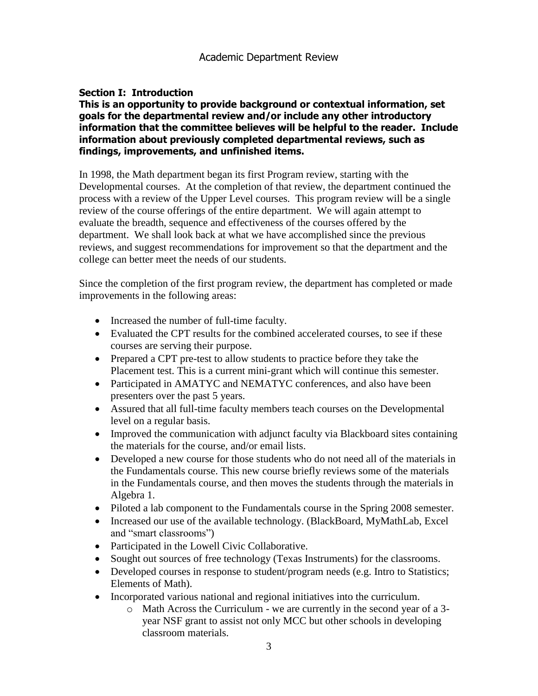#### **Section I: Introduction**

#### **This is an opportunity to provide background or contextual information, set goals for the departmental review and/or include any other introductory information that the committee believes will be helpful to the reader. Include information about previously completed departmental reviews, such as findings, improvements, and unfinished items.**

In 1998, the Math department began its first Program review, starting with the Developmental courses. At the completion of that review, the department continued the process with a review of the Upper Level courses. This program review will be a single review of the course offerings of the entire department. We will again attempt to evaluate the breadth, sequence and effectiveness of the courses offered by the department. We shall look back at what we have accomplished since the previous reviews, and suggest recommendations for improvement so that the department and the college can better meet the needs of our students.

Since the completion of the first program review, the department has completed or made improvements in the following areas:

- Increased the number of full-time faculty.
- Evaluated the CPT results for the combined accelerated courses, to see if these courses are serving their purpose.
- Prepared a CPT pre-test to allow students to practice before they take the Placement test. This is a current mini-grant which will continue this semester.
- Participated in AMATYC and NEMATYC conferences, and also have been presenters over the past 5 years.
- Assured that all full-time faculty members teach courses on the Developmental level on a regular basis.
- Improved the communication with adjunct faculty via Blackboard sites containing the materials for the course, and/or email lists.
- Developed a new course for those students who do not need all of the materials in the Fundamentals course. This new course briefly reviews some of the materials in the Fundamentals course, and then moves the students through the materials in Algebra 1.
- Piloted a lab component to the Fundamentals course in the Spring 2008 semester.
- Increased our use of the available technology. (BlackBoard, MyMathLab, Excel and "smart classrooms")
- Participated in the Lowell Civic Collaborative.
- Sought out sources of free technology (Texas Instruments) for the classrooms.
- Developed courses in response to student/program needs (e.g. Intro to Statistics; Elements of Math).
- Incorporated various national and regional initiatives into the curriculum.
	- o Math Across the Curriculum we are currently in the second year of a 3 year NSF grant to assist not only MCC but other schools in developing classroom materials.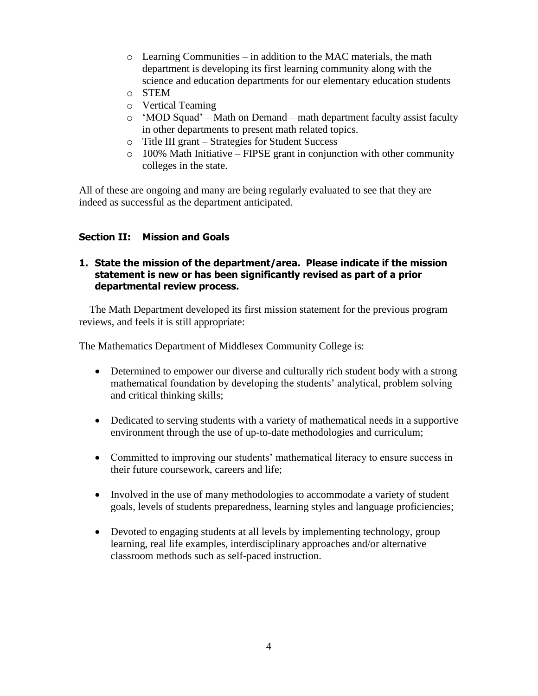- $\circ$  Learning Communities in addition to the MAC materials, the math department is developing its first learning community along with the science and education departments for our elementary education students
- o STEM
- o Vertical Teaming
- o "MOD Squad" Math on Demand math department faculty assist faculty in other departments to present math related topics.
- o Title III grant Strategies for Student Success
- $\circ$  100% Math Initiative FIPSE grant in conjunction with other community colleges in the state.

All of these are ongoing and many are being regularly evaluated to see that they are indeed as successful as the department anticipated.

#### **Section II: Mission and Goals**

#### **1. State the mission of the department/area. Please indicate if the mission statement is new or has been significantly revised as part of a prior departmental review process.**

 The Math Department developed its first mission statement for the previous program reviews, and feels it is still appropriate:

The Mathematics Department of Middlesex Community College is:

- Determined to empower our diverse and culturally rich student body with a strong mathematical foundation by developing the students' analytical, problem solving and critical thinking skills;
- Dedicated to serving students with a variety of mathematical needs in a supportive environment through the use of up-to-date methodologies and curriculum;
- Committed to improving our students' mathematical literacy to ensure success in their future coursework, careers and life;
- Involved in the use of many methodologies to accommodate a variety of student goals, levels of students preparedness, learning styles and language proficiencies;
- Devoted to engaging students at all levels by implementing technology, group learning, real life examples, interdisciplinary approaches and/or alternative classroom methods such as self-paced instruction.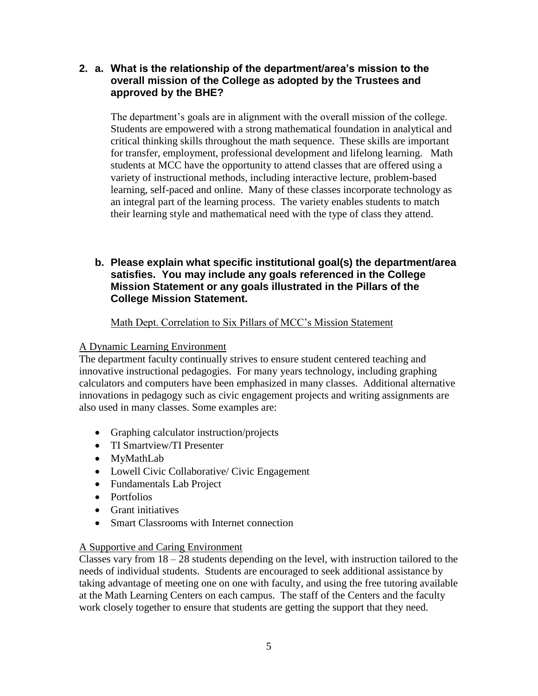## **2. a. What is the relationship of the department/area's mission to the overall mission of the College as adopted by the Trustees and approved by the BHE?**

The department's goals are in alignment with the overall mission of the college. Students are empowered with a strong mathematical foundation in analytical and critical thinking skills throughout the math sequence. These skills are important for transfer, employment, professional development and lifelong learning. Math students at MCC have the opportunity to attend classes that are offered using a variety of instructional methods, including interactive lecture, problem-based learning, self-paced and online. Many of these classes incorporate technology as an integral part of the learning process. The variety enables students to match their learning style and mathematical need with the type of class they attend.

### **b. Please explain what specific institutional goal(s) the department/area satisfies. You may include any goals referenced in the College Mission Statement or any goals illustrated in the Pillars of the College Mission Statement.**

#### Math Dept. Correlation to Six Pillars of MCC"s Mission Statement

#### A Dynamic Learning Environment

The department faculty continually strives to ensure student centered teaching and innovative instructional pedagogies. For many years technology, including graphing calculators and computers have been emphasized in many classes. Additional alternative innovations in pedagogy such as civic engagement projects and writing assignments are also used in many classes. Some examples are:

- Graphing calculator instruction/projects
- TI Smartview/TI Presenter
- MyMathLab
- Lowell Civic Collaborative/ Civic Engagement
- Fundamentals Lab Project
- Portfolios
- Grant initiatives
- Smart Classrooms with Internet connection

#### A Supportive and Caring Environment

Classes vary from  $18 - 28$  students depending on the level, with instruction tailored to the needs of individual students. Students are encouraged to seek additional assistance by taking advantage of meeting one on one with faculty, and using the free tutoring available at the Math Learning Centers on each campus. The staff of the Centers and the faculty work closely together to ensure that students are getting the support that they need.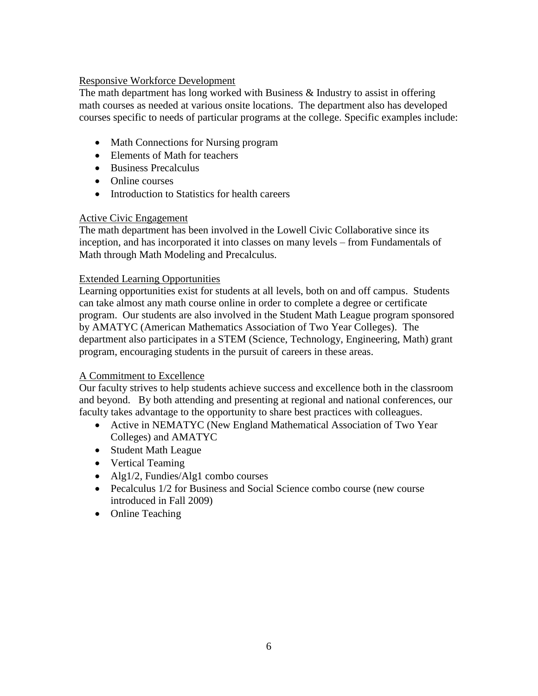#### Responsive Workforce Development

The math department has long worked with Business & Industry to assist in offering math courses as needed at various onsite locations. The department also has developed courses specific to needs of particular programs at the college. Specific examples include:

- Math Connections for Nursing program
- Elements of Math for teachers
- Business Precalculus
- Online courses
- Introduction to Statistics for health careers

#### Active Civic Engagement

The math department has been involved in the Lowell Civic Collaborative since its inception, and has incorporated it into classes on many levels – from Fundamentals of Math through Math Modeling and Precalculus.

#### Extended Learning Opportunities

Learning opportunities exist for students at all levels, both on and off campus. Students can take almost any math course online in order to complete a degree or certificate program. Our students are also involved in the Student Math League program sponsored by AMATYC (American Mathematics Association of Two Year Colleges). The department also participates in a STEM (Science, Technology, Engineering, Math) grant program, encouraging students in the pursuit of careers in these areas.

#### A Commitment to Excellence

Our faculty strives to help students achieve success and excellence both in the classroom and beyond. By both attending and presenting at regional and national conferences, our faculty takes advantage to the opportunity to share best practices with colleagues.

- Active in NEMATYC (New England Mathematical Association of Two Year Colleges) and AMATYC
- Student Math League
- Vertical Teaming
- Alg1/2, Fundies/Alg1 combo courses
- Pecalculus 1/2 for Business and Social Science combo course (new course introduced in Fall 2009)
- Online Teaching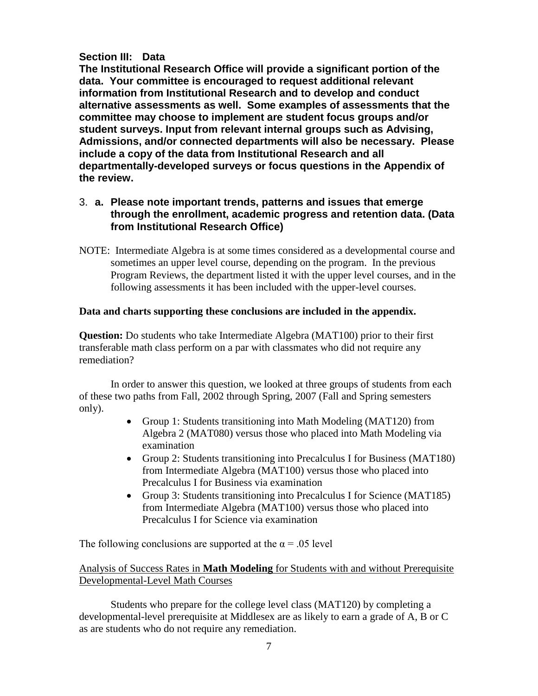## **Section III: Data**

**The Institutional Research Office will provide a significant portion of the data. Your committee is encouraged to request additional relevant information from Institutional Research and to develop and conduct alternative assessments as well. Some examples of assessments that the committee may choose to implement are student focus groups and/or student surveys. Input from relevant internal groups such as Advising, Admissions, and/or connected departments will also be necessary. Please include a copy of the data from Institutional Research and all departmentally-developed surveys or focus questions in the Appendix of the review.**

### 3. **a. Please note important trends, patterns and issues that emerge through the enrollment, academic progress and retention data. (Data from Institutional Research Office)**

NOTE: Intermediate Algebra is at some times considered as a developmental course and sometimes an upper level course, depending on the program. In the previous Program Reviews, the department listed it with the upper level courses, and in the following assessments it has been included with the upper-level courses.

#### **Data and charts supporting these conclusions are included in the appendix.**

**Question:** Do students who take Intermediate Algebra (MAT100) prior to their first transferable math class perform on a par with classmates who did not require any remediation?

In order to answer this question, we looked at three groups of students from each of these two paths from Fall, 2002 through Spring, 2007 (Fall and Spring semesters only).

- Group 1: Students transitioning into Math Modeling (MAT120) from Algebra 2 (MAT080) versus those who placed into Math Modeling via examination
- Group 2: Students transitioning into Precalculus I for Business (MAT180) from Intermediate Algebra (MAT100) versus those who placed into Precalculus I for Business via examination
- Group 3: Students transitioning into Precalculus I for Science (MAT185) from Intermediate Algebra (MAT100) versus those who placed into Precalculus I for Science via examination

The following conclusions are supported at the  $\alpha = .05$  level

#### Analysis of Success Rates in **Math Modeling** for Students with and without Prerequisite Developmental-Level Math Courses

Students who prepare for the college level class (MAT120) by completing a developmental-level prerequisite at Middlesex are as likely to earn a grade of A, B or C as are students who do not require any remediation.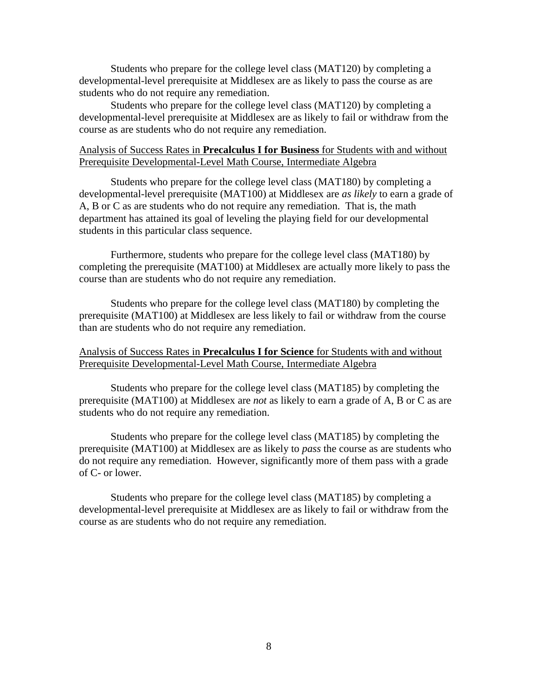Students who prepare for the college level class (MAT120) by completing a developmental-level prerequisite at Middlesex are as likely to pass the course as are students who do not require any remediation.

Students who prepare for the college level class (MAT120) by completing a developmental-level prerequisite at Middlesex are as likely to fail or withdraw from the course as are students who do not require any remediation.

#### Analysis of Success Rates in **Precalculus I for Business** for Students with and without Prerequisite Developmental-Level Math Course, Intermediate Algebra

Students who prepare for the college level class (MAT180) by completing a developmental-level prerequisite (MAT100) at Middlesex are *as likely* to earn a grade of A, B or C as are students who do not require any remediation. That is, the math department has attained its goal of leveling the playing field for our developmental students in this particular class sequence.

Furthermore, students who prepare for the college level class (MAT180) by completing the prerequisite (MAT100) at Middlesex are actually more likely to pass the course than are students who do not require any remediation.

Students who prepare for the college level class (MAT180) by completing the prerequisite (MAT100) at Middlesex are less likely to fail or withdraw from the course than are students who do not require any remediation.

#### Analysis of Success Rates in **Precalculus I for Science** for Students with and without Prerequisite Developmental-Level Math Course, Intermediate Algebra

Students who prepare for the college level class (MAT185) by completing the prerequisite (MAT100) at Middlesex are *not* as likely to earn a grade of A, B or C as are students who do not require any remediation.

Students who prepare for the college level class (MAT185) by completing the prerequisite (MAT100) at Middlesex are as likely to *pass* the course as are students who do not require any remediation. However, significantly more of them pass with a grade of C- or lower.

Students who prepare for the college level class (MAT185) by completing a developmental-level prerequisite at Middlesex are as likely to fail or withdraw from the course as are students who do not require any remediation.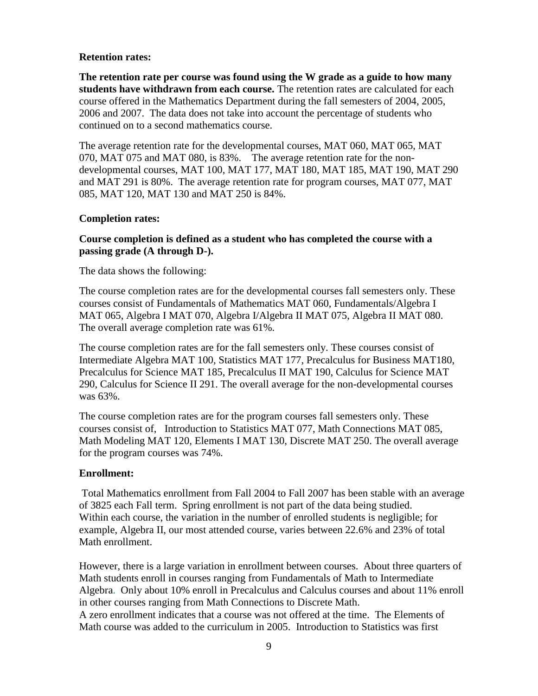#### **Retention rates:**

**The retention rate per course was found using the W grade as a guide to how many students have withdrawn from each course.** The retention rates are calculated for each course offered in the Mathematics Department during the fall semesters of 2004, 2005, 2006 and 2007. The data does not take into account the percentage of students who continued on to a second mathematics course.

The average retention rate for the developmental courses, MAT 060, MAT 065, MAT 070, MAT 075 and MAT 080, is 83%. The average retention rate for the nondevelopmental courses, MAT 100, MAT 177, MAT 180, MAT 185, MAT 190, MAT 290 and MAT 291 is 80%. The average retention rate for program courses, MAT 077, MAT 085, MAT 120, MAT 130 and MAT 250 is 84%.

#### **Completion rates:**

#### **Course completion is defined as a student who has completed the course with a passing grade (A through D-).**

The data shows the following:

The course completion rates are for the developmental courses fall semesters only. These courses consist of Fundamentals of Mathematics MAT 060, Fundamentals/Algebra I MAT 065, Algebra I MAT 070, Algebra I/Algebra II MAT 075, Algebra II MAT 080. The overall average completion rate was 61%.

The course completion rates are for the fall semesters only. These courses consist of Intermediate Algebra MAT 100, Statistics MAT 177, Precalculus for Business MAT180, Precalculus for Science MAT 185, Precalculus II MAT 190, Calculus for Science MAT 290, Calculus for Science II 291. The overall average for the non-developmental courses was 63%.

The course completion rates are for the program courses fall semesters only. These courses consist of, Introduction to Statistics MAT 077, Math Connections MAT 085, Math Modeling MAT 120, Elements I MAT 130, Discrete MAT 250. The overall average for the program courses was 74%.

#### **Enrollment:**

Total Mathematics enrollment from Fall 2004 to Fall 2007 has been stable with an average of 3825 each Fall term. Spring enrollment is not part of the data being studied. Within each course, the variation in the number of enrolled students is negligible; for example, Algebra II, our most attended course, varies between 22.6% and 23% of total Math enrollment.

However, there is a large variation in enrollment between courses. About three quarters of Math students enroll in courses ranging from Fundamentals of Math to Intermediate Algebra. Only about 10% enroll in Precalculus and Calculus courses and about 11% enroll in other courses ranging from Math Connections to Discrete Math.

A zero enrollment indicates that a course was not offered at the time. The Elements of Math course was added to the curriculum in 2005. Introduction to Statistics was first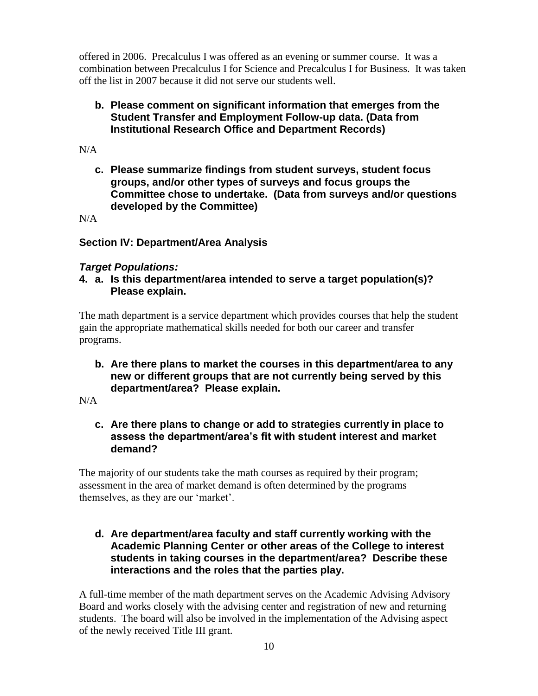offered in 2006. Precalculus I was offered as an evening or summer course. It was a combination between Precalculus I for Science and Precalculus I for Business. It was taken off the list in 2007 because it did not serve our students well.

## **b. Please comment on significant information that emerges from the Student Transfer and Employment Follow-up data. (Data from Institutional Research Office and Department Records)**

 $N/A$ 

**c. Please summarize findings from student surveys, student focus groups, and/or other types of surveys and focus groups the Committee chose to undertake. (Data from surveys and/or questions developed by the Committee)**

 $N/A$ 

## **Section IV: Department/Area Analysis**

## *Target Populations:*

**4. a. Is this department/area intended to serve a target population(s)? Please explain.**

The math department is a service department which provides courses that help the student gain the appropriate mathematical skills needed for both our career and transfer programs.

**b. Are there plans to market the courses in this department/area to any new or different groups that are not currently being served by this department/area? Please explain.**

N/A

**c. Are there plans to change or add to strategies currently in place to assess the department/area's fit with student interest and market demand?**

The majority of our students take the math courses as required by their program; assessment in the area of market demand is often determined by the programs themselves, as they are our "market".

**d. Are department/area faculty and staff currently working with the Academic Planning Center or other areas of the College to interest students in taking courses in the department/area? Describe these interactions and the roles that the parties play.** 

A full-time member of the math department serves on the Academic Advising Advisory Board and works closely with the advising center and registration of new and returning students. The board will also be involved in the implementation of the Advising aspect of the newly received Title III grant.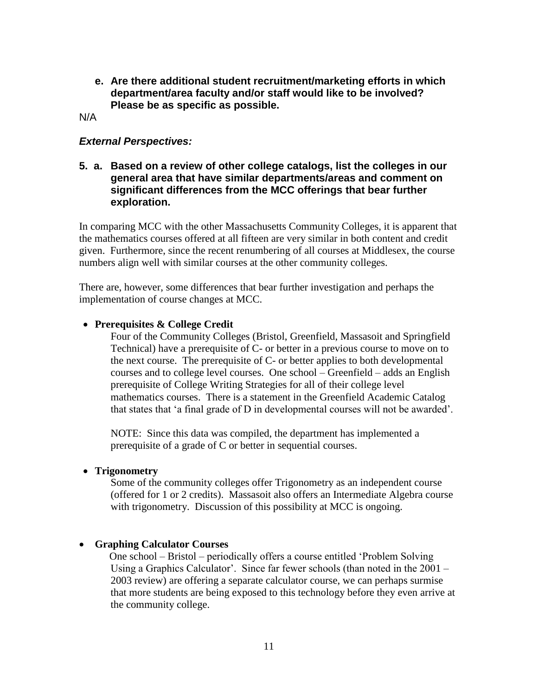**e. Are there additional student recruitment/marketing efforts in which department/area faculty and/or staff would like to be involved? Please be as specific as possible.**

N/A

#### *External Perspectives:*

**5. a. Based on a review of other college catalogs, list the colleges in our general area that have similar departments/areas and comment on significant differences from the MCC offerings that bear further exploration.**

In comparing MCC with the other Massachusetts Community Colleges, it is apparent that the mathematics courses offered at all fifteen are very similar in both content and credit given. Furthermore, since the recent renumbering of all courses at Middlesex, the course numbers align well with similar courses at the other community colleges.

There are, however, some differences that bear further investigation and perhaps the implementation of course changes at MCC.

#### **Prerequisites & College Credit**

Four of the Community Colleges (Bristol, Greenfield, Massasoit and Springfield Technical) have a prerequisite of C- or better in a previous course to move on to the next course. The prerequisite of C- or better applies to both developmental courses and to college level courses. One school – Greenfield – adds an English prerequisite of College Writing Strategies for all of their college level mathematics courses. There is a statement in the Greenfield Academic Catalog that states that "a final grade of D in developmental courses will not be awarded".

NOTE: Since this data was compiled, the department has implemented a prerequisite of a grade of C or better in sequential courses.

#### **Trigonometry**

Some of the community colleges offer Trigonometry as an independent course (offered for 1 or 2 credits). Massasoit also offers an Intermediate Algebra course with trigonometry. Discussion of this possibility at MCC is ongoing.

#### **Graphing Calculator Courses**

One school – Bristol – periodically offers a course entitled "Problem Solving Using a Graphics Calculator'. Since far fewer schools (than noted in the  $2001 -$ 2003 review) are offering a separate calculator course, we can perhaps surmise that more students are being exposed to this technology before they even arrive at the community college.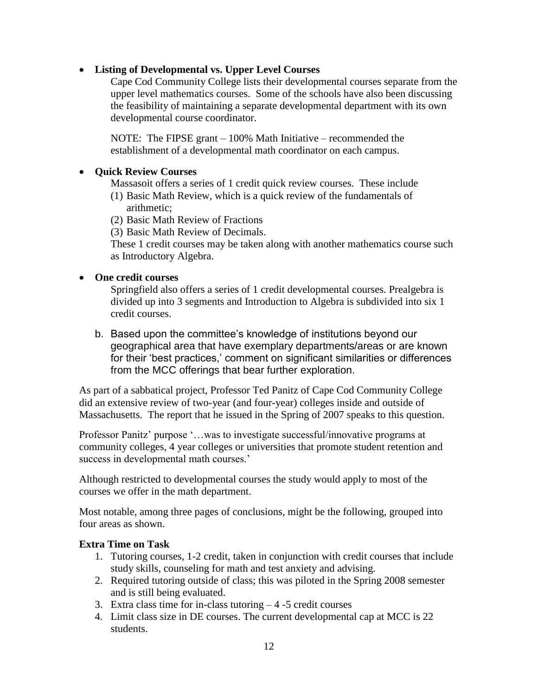#### **Listing of Developmental vs. Upper Level Courses**

Cape Cod Community College lists their developmental courses separate from the upper level mathematics courses. Some of the schools have also been discussing the feasibility of maintaining a separate developmental department with its own developmental course coordinator.

NOTE: The FIPSE grant – 100% Math Initiative – recommended the establishment of a developmental math coordinator on each campus.

#### **•** Ouick Review Courses

Massasoit offers a series of 1 credit quick review courses. These include

- (1) Basic Math Review, which is a quick review of the fundamentals of arithmetic;
- (2) Basic Math Review of Fractions
- (3) Basic Math Review of Decimals.

These 1 credit courses may be taken along with another mathematics course such as Introductory Algebra.

#### **One credit courses**

Springfield also offers a series of 1 credit developmental courses. Prealgebra is divided up into 3 segments and Introduction to Algebra is subdivided into six 1 credit courses.

b. Based upon the committee's knowledge of institutions beyond our geographical area that have exemplary departments/areas or are known for their 'best practices,' comment on significant similarities or differences from the MCC offerings that bear further exploration.

As part of a sabbatical project, Professor Ted Panitz of Cape Cod Community College did an extensive review of two-year (and four-year) colleges inside and outside of Massachusetts. The report that he issued in the Spring of 2007 speaks to this question.

Professor Panitz' purpose '...was to investigate successful/innovative programs at community colleges, 4 year colleges or universities that promote student retention and success in developmental math courses.'

Although restricted to developmental courses the study would apply to most of the courses we offer in the math department.

Most notable, among three pages of conclusions, might be the following, grouped into four areas as shown.

#### **Extra Time on Task**

- 1. Tutoring courses, 1-2 credit, taken in conjunction with credit courses that include study skills, counseling for math and test anxiety and advising.
- 2. Required tutoring outside of class; this was piloted in the Spring 2008 semester and is still being evaluated.
- 3. Extra class time for in-class tutoring  $-4$  -5 credit courses
- 4. Limit class size in DE courses. The current developmental cap at MCC is 22 students.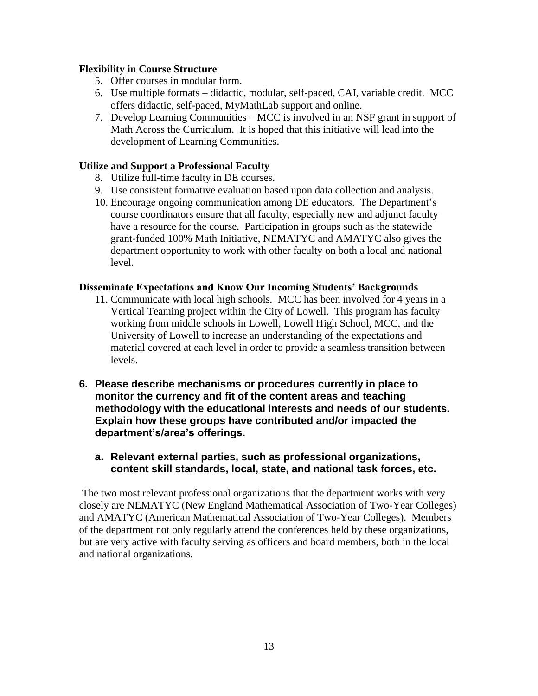#### **Flexibility in Course Structure**

- 5. Offer courses in modular form.
- 6. Use multiple formats didactic, modular, self-paced, CAI, variable credit. MCC offers didactic, self-paced, MyMathLab support and online.
- 7. Develop Learning Communities MCC is involved in an NSF grant in support of Math Across the Curriculum. It is hoped that this initiative will lead into the development of Learning Communities.

#### **Utilize and Support a Professional Faculty**

- 8. Utilize full-time faculty in DE courses.
- 9. Use consistent formative evaluation based upon data collection and analysis.
- 10. Encourage ongoing communication among DE educators. The Department"s course coordinators ensure that all faculty, especially new and adjunct faculty have a resource for the course. Participation in groups such as the statewide grant-funded 100% Math Initiative, NEMATYC and AMATYC also gives the department opportunity to work with other faculty on both a local and national level.

#### **Disseminate Expectations and Know Our Incoming Students' Backgrounds**

- 11. Communicate with local high schools. MCC has been involved for 4 years in a Vertical Teaming project within the City of Lowell. This program has faculty working from middle schools in Lowell, Lowell High School, MCC, and the University of Lowell to increase an understanding of the expectations and material covered at each level in order to provide a seamless transition between levels.
- **6. Please describe mechanisms or procedures currently in place to monitor the currency and fit of the content areas and teaching methodology with the educational interests and needs of our students. Explain how these groups have contributed and/or impacted the department's/area's offerings.**
	- **a. Relevant external parties, such as professional organizations, content skill standards, local, state, and national task forces, etc.**

The two most relevant professional organizations that the department works with very closely are NEMATYC (New England Mathematical Association of Two-Year Colleges) and AMATYC (American Mathematical Association of Two-Year Colleges). Members of the department not only regularly attend the conferences held by these organizations, but are very active with faculty serving as officers and board members, both in the local and national organizations.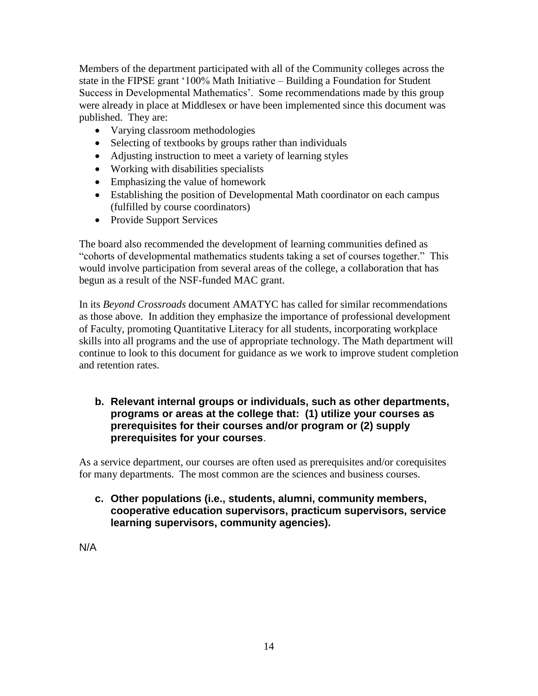Members of the department participated with all of the Community colleges across the state in the FIPSE grant "100% Math Initiative – Building a Foundation for Student Success in Developmental Mathematics'. Some recommendations made by this group were already in place at Middlesex or have been implemented since this document was published. They are:

- Varying classroom methodologies
- Selecting of textbooks by groups rather than individuals
- Adjusting instruction to meet a variety of learning styles
- Working with disabilities specialists
- Emphasizing the value of homework
- Establishing the position of Developmental Math coordinator on each campus (fulfilled by course coordinators)
- Provide Support Services

The board also recommended the development of learning communities defined as "cohorts of developmental mathematics students taking a set of courses together." This would involve participation from several areas of the college, a collaboration that has begun as a result of the NSF-funded MAC grant.

In its *Beyond Crossroads* document AMATYC has called for similar recommendations as those above. In addition they emphasize the importance of professional development of Faculty, promoting Quantitative Literacy for all students, incorporating workplace skills into all programs and the use of appropriate technology. The Math department will continue to look to this document for guidance as we work to improve student completion and retention rates.

## **b. Relevant internal groups or individuals, such as other departments, programs or areas at the college that: (1) utilize your courses as prerequisites for their courses and/or program or (2) supply prerequisites for your courses**.

As a service department, our courses are often used as prerequisites and/or corequisites for many departments. The most common are the sciences and business courses.

**c. Other populations (i.e., students, alumni, community members, cooperative education supervisors, practicum supervisors, service learning supervisors, community agencies).**

N/A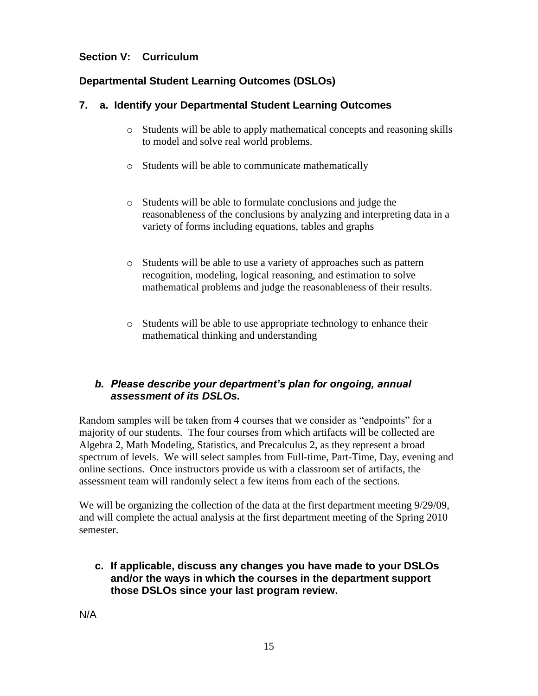## **Section V: Curriculum**

## **Departmental Student Learning Outcomes (DSLOs)**

## **7. a. Identify your Departmental Student Learning Outcomes**

- o Students will be able to apply mathematical concepts and reasoning skills to model and solve real world problems.
- o Students will be able to communicate mathematically
- o Students will be able to formulate conclusions and judge the reasonableness of the conclusions by analyzing and interpreting data in a variety of forms including equations, tables and graphs
- o Students will be able to use a variety of approaches such as pattern recognition, modeling, logical reasoning, and estimation to solve mathematical problems and judge the reasonableness of their results.
- o Students will be able to use appropriate technology to enhance their mathematical thinking and understanding

## *b. Please describe your department's plan for ongoing, annual assessment of its DSLOs.*

Random samples will be taken from 4 courses that we consider as "endpoints" for a majority of our students. The four courses from which artifacts will be collected are Algebra 2, Math Modeling, Statistics, and Precalculus 2, as they represent a broad spectrum of levels. We will select samples from Full-time, Part-Time, Day, evening and online sections. Once instructors provide us with a classroom set of artifacts, the assessment team will randomly select a few items from each of the sections.

We will be organizing the collection of the data at the first department meeting  $9/29/09$ , and will complete the actual analysis at the first department meeting of the Spring 2010 semester.

**c. If applicable, discuss any changes you have made to your DSLOs and/or the ways in which the courses in the department support those DSLOs since your last program review.** 

N/A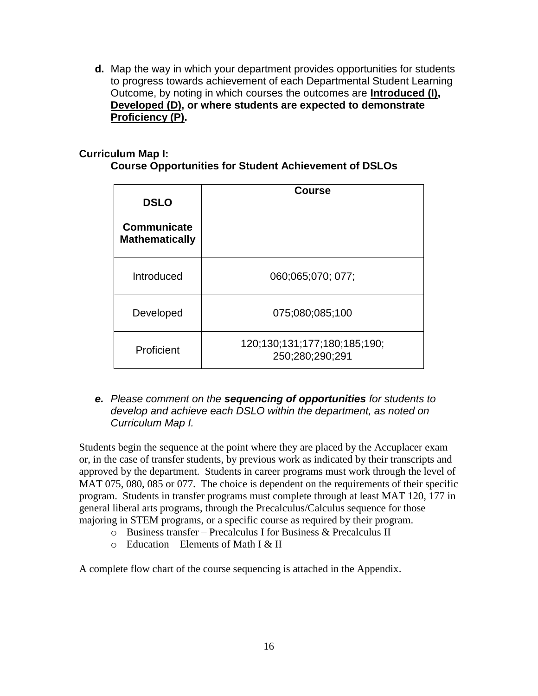**d.** Map the way in which your department provides opportunities for students to progress towards achievement of each Departmental Student Learning Outcome, by noting in which courses the outcomes are **Introduced (I), Developed (D), or where students are expected to demonstrate Proficiency (P).**

#### **Curriculum Map I:**

| <b>Course Opportunities for Student Achievement of DSLOs</b> |  |  |  |
|--------------------------------------------------------------|--|--|--|
|--------------------------------------------------------------|--|--|--|

| <b>DSLO</b>                          | <b>Course</b>                                   |
|--------------------------------------|-------------------------------------------------|
| Communicate<br><b>Mathematically</b> |                                                 |
| Introduced                           | 060:065:070: 077;                               |
| Developed                            | 075;080;085;100                                 |
| Proficient                           | 120;130;131;177;180;185;190;<br>250;280;290;291 |

#### *e. Please comment on the sequencing of opportunities for students to develop and achieve each DSLO within the department, as noted on Curriculum Map I.*

Students begin the sequence at the point where they are placed by the Accuplacer exam or, in the case of transfer students, by previous work as indicated by their transcripts and approved by the department. Students in career programs must work through the level of MAT 075, 080, 085 or 077. The choice is dependent on the requirements of their specific program. Students in transfer programs must complete through at least MAT 120, 177 in general liberal arts programs, through the Precalculus/Calculus sequence for those majoring in STEM programs, or a specific course as required by their program.

- o Business transfer Precalculus I for Business & Precalculus II
- $\circ$  Education Elements of Math I & II

A complete flow chart of the course sequencing is attached in the Appendix.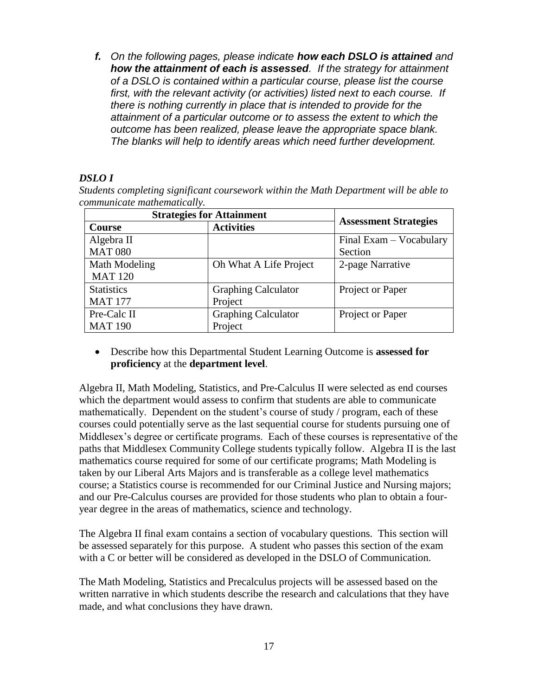*f. On the following pages, please indicate how each DSLO is attained and how the attainment of each is assessed. If the strategy for attainment of a DSLO is contained within a particular course, please list the course first, with the relevant activity (or activities) listed next to each course. If there is nothing currently in place that is intended to provide for the attainment of a particular outcome or to assess the extent to which the outcome has been realized, please leave the appropriate space blank. The blanks will help to identify areas which need further development.*

## *DSLO I*

*Students completing significant coursework within the Math Department will be able to communicate mathematically.*

| <b>Strategies for Attainment</b> |                            |                              |  |  |
|----------------------------------|----------------------------|------------------------------|--|--|
| <b>Course</b>                    | <b>Activities</b>          | <b>Assessment Strategies</b> |  |  |
| Algebra II                       |                            | Final Exam - Vocabulary      |  |  |
| <b>MAT 080</b>                   |                            | Section                      |  |  |
| Math Modeling                    | Oh What A Life Project     | 2-page Narrative             |  |  |
| <b>MAT 120</b>                   |                            |                              |  |  |
| <b>Statistics</b>                | <b>Graphing Calculator</b> | Project or Paper             |  |  |
| <b>MAT 177</b>                   | Project                    |                              |  |  |
| Pre-Calc II                      | <b>Graphing Calculator</b> | Project or Paper             |  |  |
| <b>MAT 190</b>                   | Project                    |                              |  |  |

 Describe how this Departmental Student Learning Outcome is **assessed for proficiency** at the **department level**.

Algebra II, Math Modeling, Statistics, and Pre-Calculus II were selected as end courses which the department would assess to confirm that students are able to communicate mathematically. Dependent on the student"s course of study / program, each of these courses could potentially serve as the last sequential course for students pursuing one of Middlesex"s degree or certificate programs. Each of these courses is representative of the paths that Middlesex Community College students typically follow. Algebra II is the last mathematics course required for some of our certificate programs; Math Modeling is taken by our Liberal Arts Majors and is transferable as a college level mathematics course; a Statistics course is recommended for our Criminal Justice and Nursing majors; and our Pre-Calculus courses are provided for those students who plan to obtain a fouryear degree in the areas of mathematics, science and technology.

The Algebra II final exam contains a section of vocabulary questions. This section will be assessed separately for this purpose. A student who passes this section of the exam with a C or better will be considered as developed in the DSLO of Communication.

The Math Modeling, Statistics and Precalculus projects will be assessed based on the written narrative in which students describe the research and calculations that they have made, and what conclusions they have drawn.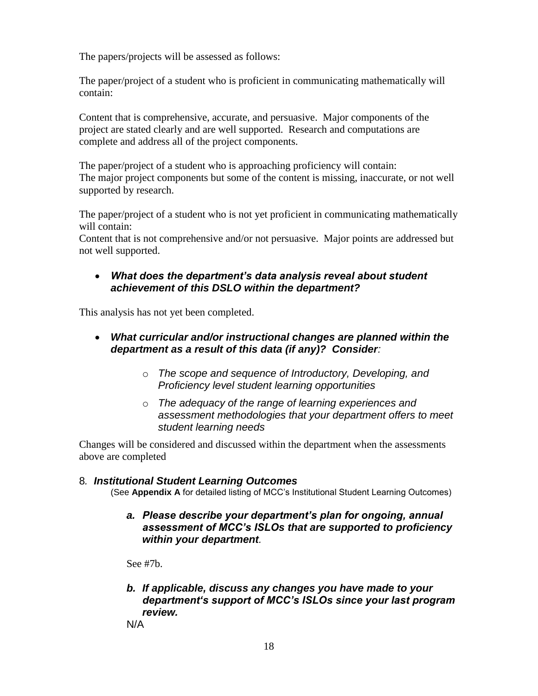The papers/projects will be assessed as follows:

The paper/project of a student who is proficient in communicating mathematically will contain:

Content that is comprehensive, accurate, and persuasive. Major components of the project are stated clearly and are well supported. Research and computations are complete and address all of the project components.

The paper/project of a student who is approaching proficiency will contain: The major project components but some of the content is missing, inaccurate, or not well supported by research.

The paper/project of a student who is not yet proficient in communicating mathematically will contain:

Content that is not comprehensive and/or not persuasive. Major points are addressed but not well supported.

#### *What does the department's data analysis reveal about student achievement of this DSLO within the department?*

This analysis has not yet been completed.

- *What curricular and/or instructional changes are planned within the department as a result of this data (if any)? Consider:*
	- o *The scope and sequence of Introductory, Developing, and Proficiency level student learning opportunities*
	- o *The adequacy of the range of learning experiences and assessment methodologies that your department offers to meet student learning needs*

Changes will be considered and discussed within the department when the assessments above are completed

#### 8*. Institutional Student Learning Outcomes*

(See **Appendix A** for detailed listing of MCC's Institutional Student Learning Outcomes)

*a. Please describe your department's plan for ongoing, annual assessment of MCC's ISLOs that are supported to proficiency within your department.* 

See #7b.

*b. If applicable, discuss any changes you have made to your department's support of MCC's ISLOs since your last program review.* 

N/A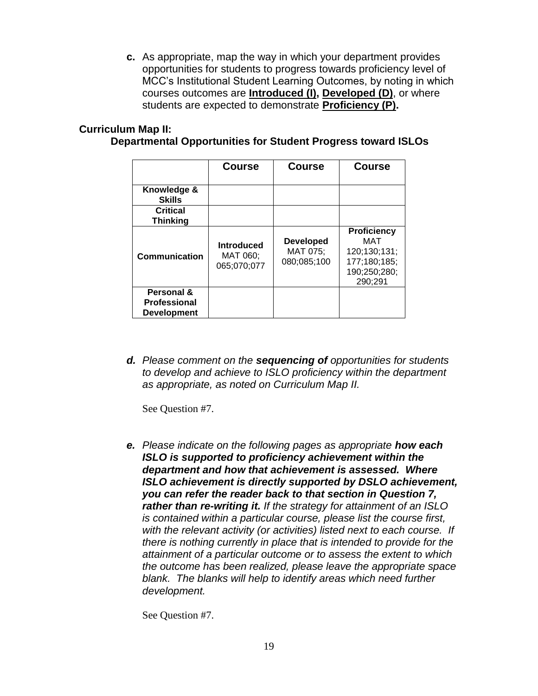**c.** As appropriate, map the way in which your department provides opportunities for students to progress towards proficiency level of MCC's Institutional Student Learning Outcomes, by noting in which courses outcomes are **Introduced (I), Developed (D)**, or where students are expected to demonstrate **Proficiency (P).**

## **Curriculum Map II:**

## **Departmental Opportunities for Student Progress toward ISLOs**

|                                                         | <b>Course</b>                                | <b>Course</b>                               | <b>Course</b>                                                                        |
|---------------------------------------------------------|----------------------------------------------|---------------------------------------------|--------------------------------------------------------------------------------------|
| Knowledge &<br><b>Skills</b>                            |                                              |                                             |                                                                                      |
| <b>Critical</b><br><b>Thinking</b>                      |                                              |                                             |                                                                                      |
| Communication                                           | <b>Introduced</b><br>MAT 060;<br>065:070:077 | <b>Developed</b><br>MAT 075;<br>080;085;100 | <b>Proficiency</b><br>MAT<br>120;130;131;<br>177;180;185;<br>190;250;280;<br>290;291 |
| Personal &<br><b>Professional</b><br><b>Development</b> |                                              |                                             |                                                                                      |

*d. Please comment on the sequencing of opportunities for students to develop and achieve to ISLO proficiency within the department as appropriate, as noted on Curriculum Map II.*

See Question #7.

*e. Please indicate on the following pages as appropriate how each ISLO is supported to proficiency achievement within the department and how that achievement is assessed. Where ISLO achievement is directly supported by DSLO achievement, you can refer the reader back to that section in Question 7, rather than re-writing it. If the strategy for attainment of an ISLO is contained within a particular course, please list the course first, with the relevant activity (or activities) listed next to each course. If there is nothing currently in place that is intended to provide for the attainment of a particular outcome or to assess the extent to which the outcome has been realized, please leave the appropriate space blank. The blanks will help to identify areas which need further development.*

See Question #7.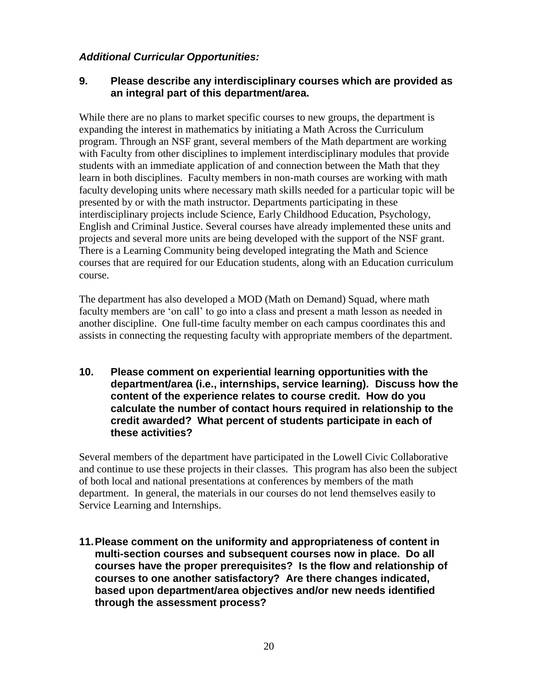## *Additional Curricular Opportunities:*

## **9. Please describe any interdisciplinary courses which are provided as an integral part of this department/area.**

While there are no plans to market specific courses to new groups, the department is expanding the interest in mathematics by initiating a Math Across the Curriculum program. Through an NSF grant, several members of the Math department are working with Faculty from other disciplines to implement interdisciplinary modules that provide students with an immediate application of and connection between the Math that they learn in both disciplines. Faculty members in non-math courses are working with math faculty developing units where necessary math skills needed for a particular topic will be presented by or with the math instructor. Departments participating in these interdisciplinary projects include Science, Early Childhood Education, Psychology, English and Criminal Justice. Several courses have already implemented these units and projects and several more units are being developed with the support of the NSF grant. There is a Learning Community being developed integrating the Math and Science courses that are required for our Education students, along with an Education curriculum course.

The department has also developed a MOD (Math on Demand) Squad, where math faculty members are "on call" to go into a class and present a math lesson as needed in another discipline. One full-time faculty member on each campus coordinates this and assists in connecting the requesting faculty with appropriate members of the department.

**10. Please comment on experiential learning opportunities with the department/area (i.e., internships, service learning). Discuss how the content of the experience relates to course credit. How do you calculate the number of contact hours required in relationship to the credit awarded? What percent of students participate in each of these activities?** 

Several members of the department have participated in the Lowell Civic Collaborative and continue to use these projects in their classes. This program has also been the subject of both local and national presentations at conferences by members of the math department. In general, the materials in our courses do not lend themselves easily to Service Learning and Internships.

**11.Please comment on the uniformity and appropriateness of content in multi-section courses and subsequent courses now in place. Do all courses have the proper prerequisites? Is the flow and relationship of courses to one another satisfactory? Are there changes indicated, based upon department/area objectives and/or new needs identified through the assessment process?**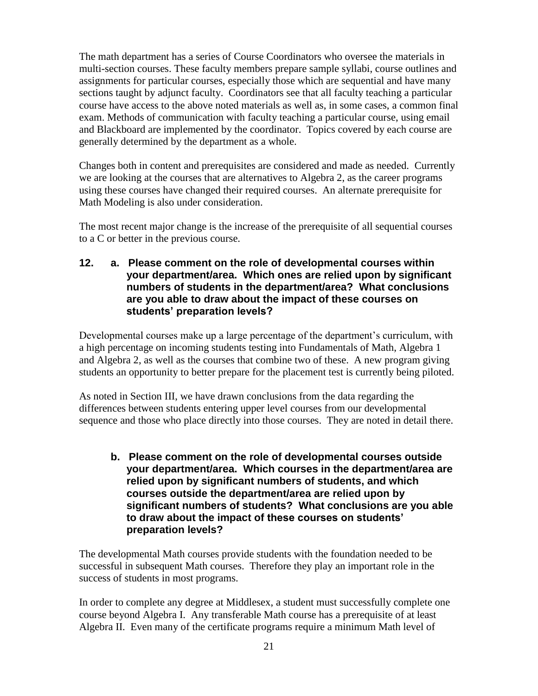The math department has a series of Course Coordinators who oversee the materials in multi-section courses. These faculty members prepare sample syllabi, course outlines and assignments for particular courses, especially those which are sequential and have many sections taught by adjunct faculty. Coordinators see that all faculty teaching a particular course have access to the above noted materials as well as, in some cases, a common final exam. Methods of communication with faculty teaching a particular course, using email and Blackboard are implemented by the coordinator. Topics covered by each course are generally determined by the department as a whole.

Changes both in content and prerequisites are considered and made as needed. Currently we are looking at the courses that are alternatives to Algebra 2, as the career programs using these courses have changed their required courses. An alternate prerequisite for Math Modeling is also under consideration.

The most recent major change is the increase of the prerequisite of all sequential courses to a C or better in the previous course.

#### **12. a. Please comment on the role of developmental courses within your department/area. Which ones are relied upon by significant numbers of students in the department/area? What conclusions are you able to draw about the impact of these courses on students' preparation levels?**

Developmental courses make up a large percentage of the department's curriculum, with a high percentage on incoming students testing into Fundamentals of Math, Algebra 1 and Algebra 2, as well as the courses that combine two of these. A new program giving students an opportunity to better prepare for the placement test is currently being piloted.

As noted in Section III, we have drawn conclusions from the data regarding the differences between students entering upper level courses from our developmental sequence and those who place directly into those courses. They are noted in detail there.

**b. Please comment on the role of developmental courses outside your department/area. Which courses in the department/area are relied upon by significant numbers of students, and which courses outside the department/area are relied upon by significant numbers of students? What conclusions are you able to draw about the impact of these courses on students' preparation levels?**

The developmental Math courses provide students with the foundation needed to be successful in subsequent Math courses. Therefore they play an important role in the success of students in most programs.

In order to complete any degree at Middlesex, a student must successfully complete one course beyond Algebra I. Any transferable Math course has a prerequisite of at least Algebra II. Even many of the certificate programs require a minimum Math level of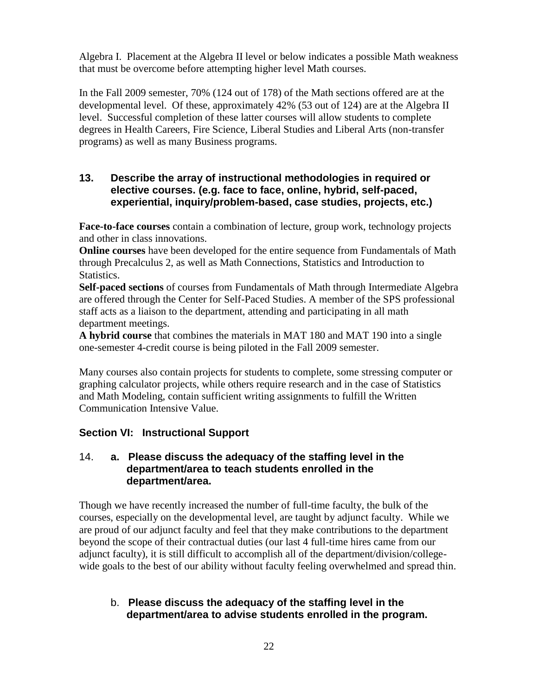Algebra I. Placement at the Algebra II level or below indicates a possible Math weakness that must be overcome before attempting higher level Math courses.

In the Fall 2009 semester, 70% (124 out of 178) of the Math sections offered are at the developmental level. Of these, approximately 42% (53 out of 124) are at the Algebra II level. Successful completion of these latter courses will allow students to complete degrees in Health Careers, Fire Science, Liberal Studies and Liberal Arts (non-transfer programs) as well as many Business programs.

### **13. Describe the array of instructional methodologies in required or elective courses. (e.g. face to face, online, hybrid, self-paced, experiential, inquiry/problem-based, case studies, projects, etc.)**

**Face-to-face courses** contain a combination of lecture, group work, technology projects and other in class innovations.

**Online courses** have been developed for the entire sequence from Fundamentals of Math through Precalculus 2, as well as Math Connections, Statistics and Introduction to Statistics.

**Self-paced sections** of courses from Fundamentals of Math through Intermediate Algebra are offered through the Center for Self-Paced Studies. A member of the SPS professional staff acts as a liaison to the department, attending and participating in all math department meetings.

**A hybrid course** that combines the materials in MAT 180 and MAT 190 into a single one-semester 4-credit course is being piloted in the Fall 2009 semester.

Many courses also contain projects for students to complete, some stressing computer or graphing calculator projects, while others require research and in the case of Statistics and Math Modeling, contain sufficient writing assignments to fulfill the Written Communication Intensive Value.

## **Section VI: Instructional Support**

#### 14. **a. Please discuss the adequacy of the staffing level in the department/area to teach students enrolled in the department/area.**

Though we have recently increased the number of full-time faculty, the bulk of the courses, especially on the developmental level, are taught by adjunct faculty. While we are proud of our adjunct faculty and feel that they make contributions to the department beyond the scope of their contractual duties (our last 4 full-time hires came from our adjunct faculty), it is still difficult to accomplish all of the department/division/collegewide goals to the best of our ability without faculty feeling overwhelmed and spread thin.

## b. **Please discuss the adequacy of the staffing level in the department/area to advise students enrolled in the program.**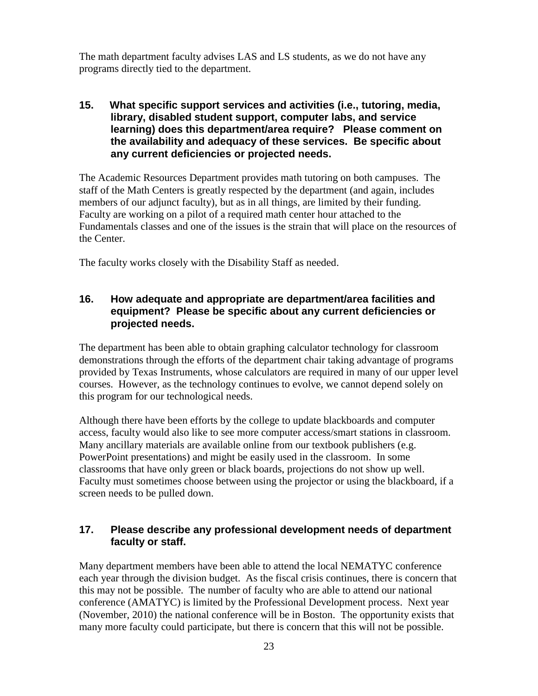The math department faculty advises LAS and LS students, as we do not have any programs directly tied to the department.

#### **15. What specific support services and activities (i.e., tutoring, media, library, disabled student support, computer labs, and service learning) does this department/area require? Please comment on the availability and adequacy of these services. Be specific about any current deficiencies or projected needs.**

The Academic Resources Department provides math tutoring on both campuses. The staff of the Math Centers is greatly respected by the department (and again, includes members of our adjunct faculty), but as in all things, are limited by their funding. Faculty are working on a pilot of a required math center hour attached to the Fundamentals classes and one of the issues is the strain that will place on the resources of the Center.

The faculty works closely with the Disability Staff as needed.

#### **16. How adequate and appropriate are department/area facilities and equipment? Please be specific about any current deficiencies or projected needs.**

The department has been able to obtain graphing calculator technology for classroom demonstrations through the efforts of the department chair taking advantage of programs provided by Texas Instruments, whose calculators are required in many of our upper level courses. However, as the technology continues to evolve, we cannot depend solely on this program for our technological needs.

Although there have been efforts by the college to update blackboards and computer access, faculty would also like to see more computer access/smart stations in classroom. Many ancillary materials are available online from our textbook publishers (e.g. PowerPoint presentations) and might be easily used in the classroom. In some classrooms that have only green or black boards, projections do not show up well. Faculty must sometimes choose between using the projector or using the blackboard, if a screen needs to be pulled down.

## **17. Please describe any professional development needs of department faculty or staff.**

Many department members have been able to attend the local NEMATYC conference each year through the division budget. As the fiscal crisis continues, there is concern that this may not be possible. The number of faculty who are able to attend our national conference (AMATYC) is limited by the Professional Development process. Next year (November, 2010) the national conference will be in Boston. The opportunity exists that many more faculty could participate, but there is concern that this will not be possible.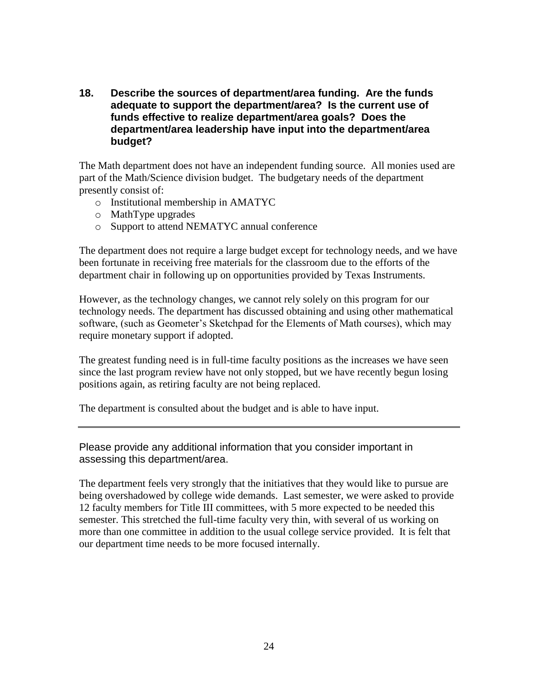**18. Describe the sources of department/area funding. Are the funds adequate to support the department/area? Is the current use of funds effective to realize department/area goals? Does the department/area leadership have input into the department/area budget?**

The Math department does not have an independent funding source. All monies used are part of the Math/Science division budget. The budgetary needs of the department presently consist of:

- o Institutional membership in AMATYC
- o MathType upgrades
- o Support to attend NEMATYC annual conference

The department does not require a large budget except for technology needs, and we have been fortunate in receiving free materials for the classroom due to the efforts of the department chair in following up on opportunities provided by Texas Instruments.

However, as the technology changes, we cannot rely solely on this program for our technology needs. The department has discussed obtaining and using other mathematical software, (such as Geometer's Sketchpad for the Elements of Math courses), which may require monetary support if adopted.

The greatest funding need is in full-time faculty positions as the increases we have seen since the last program review have not only stopped, but we have recently begun losing positions again, as retiring faculty are not being replaced.

The department is consulted about the budget and is able to have input.

Please provide any additional information that you consider important in assessing this department/area.

The department feels very strongly that the initiatives that they would like to pursue are being overshadowed by college wide demands. Last semester, we were asked to provide 12 faculty members for Title III committees, with 5 more expected to be needed this semester. This stretched the full-time faculty very thin, with several of us working on more than one committee in addition to the usual college service provided. It is felt that our department time needs to be more focused internally.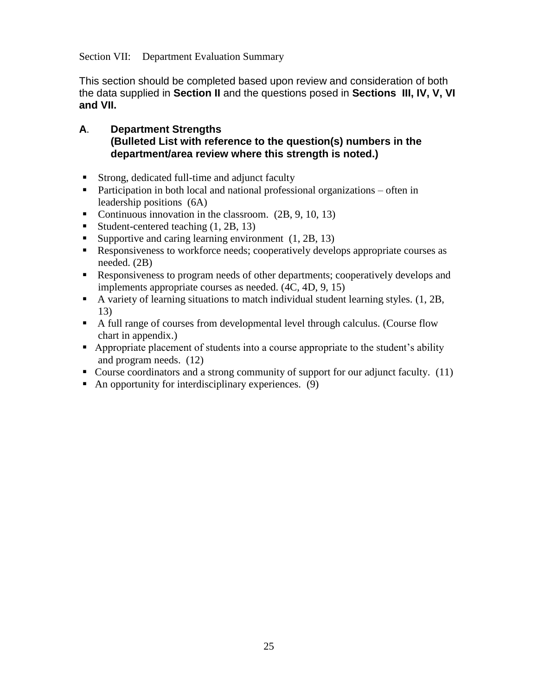Section VII: Department Evaluation Summary

This section should be completed based upon review and consideration of both the data supplied in **Section II** and the questions posed in **Sections III, IV, V, VI and VII.**

### **A**. **Department Strengths (Bulleted List with reference to the question(s) numbers in the department/area review where this strength is noted.)**

- Strong, dedicated full-time and adjunct faculty
- **Participation in both local and national professional organizations often in** leadership positions (6A)
- Continuous innovation in the classroom.  $(2B, 9, 10, 13)$
- Student-centered teaching  $(1, 2B, 13)$
- Supportive and caring learning environment  $(1, 2B, 13)$
- Responsiveness to workforce needs; cooperatively develops appropriate courses as needed. (2B)
- Responsiveness to program needs of other departments; cooperatively develops and implements appropriate courses as needed. (4C, 4D, 9, 15)
- A variety of learning situations to match individual student learning styles. (1, 2B, 13)
- A full range of courses from developmental level through calculus. (Course flow chart in appendix.)
- Appropriate placement of students into a course appropriate to the student's ability and program needs. (12)
- Course coordinators and a strong community of support for our adjunct faculty. (11)
- An opportunity for interdisciplinary experiences.  $(9)$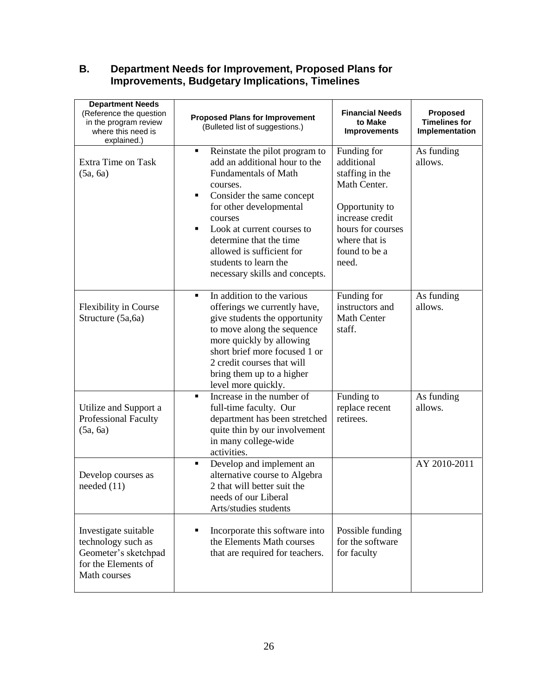## **B. Department Needs for Improvement, Proposed Plans for Improvements, Budgetary Implications, Timelines**

| <b>Department Needs</b><br>(Reference the question<br>in the program review<br>where this need is<br>explained.) | <b>Proposed Plans for Improvement</b><br>(Bulleted list of suggestions.)                                                                                                                                                                                                                                                                                                | <b>Financial Needs</b><br>to Make<br><b>Improvements</b>                                                                                                          | <b>Proposed</b><br><b>Timelines for</b><br>Implementation |
|------------------------------------------------------------------------------------------------------------------|-------------------------------------------------------------------------------------------------------------------------------------------------------------------------------------------------------------------------------------------------------------------------------------------------------------------------------------------------------------------------|-------------------------------------------------------------------------------------------------------------------------------------------------------------------|-----------------------------------------------------------|
| Extra Time on Task<br>(5a, 6a)                                                                                   | Reinstate the pilot program to<br>$\blacksquare$<br>add an additional hour to the<br><b>Fundamentals of Math</b><br>courses.<br>Consider the same concept<br>٠<br>for other developmental<br>courses<br>Look at current courses to<br>$\blacksquare$<br>determine that the time<br>allowed is sufficient for<br>students to learn the<br>necessary skills and concepts. | Funding for<br>additional<br>staffing in the<br>Math Center.<br>Opportunity to<br>increase credit<br>hours for courses<br>where that is<br>found to be a<br>need. | As funding<br>allows.                                     |
| <b>Flexibility in Course</b><br>Structure (5a,6a)                                                                | In addition to the various<br>$\blacksquare$<br>offerings we currently have,<br>give students the opportunity<br>to move along the sequence<br>more quickly by allowing<br>short brief more focused 1 or<br>2 credit courses that will<br>bring them up to a higher<br>level more quickly.                                                                              | Funding for<br>instructors and<br><b>Math Center</b><br>staff.                                                                                                    | As funding<br>allows.                                     |
| Utilize and Support a<br>Professional Faculty<br>(5a, 6a)                                                        | Increase in the number of<br>$\blacksquare$<br>full-time faculty. Our<br>department has been stretched<br>quite thin by our involvement<br>in many college-wide<br>activities.                                                                                                                                                                                          | Funding to<br>replace recent<br>retirees.                                                                                                                         | As funding<br>allows.                                     |
| Develop courses as<br>needed $(11)$                                                                              | Develop and implement an<br>٠<br>alternative course to Algebra<br>2 that will better suit the<br>needs of our Liberal<br>Arts/studies students                                                                                                                                                                                                                          |                                                                                                                                                                   | AY 2010-2011                                              |
| Investigate suitable<br>technology such as<br>Geometer's sketchpad<br>for the Elements of<br>Math courses        | Incorporate this software into<br>the Elements Math courses<br>that are required for teachers.                                                                                                                                                                                                                                                                          | Possible funding<br>for the software<br>for faculty                                                                                                               |                                                           |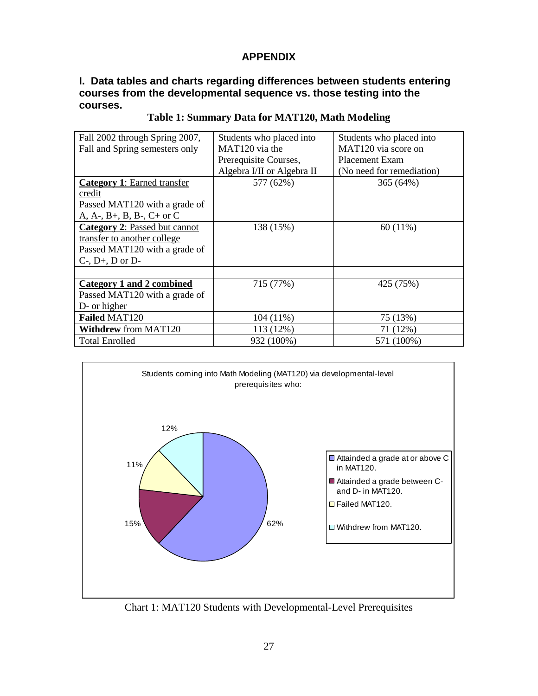## **APPENDIX**

#### **I. Data tables and charts regarding differences between students entering courses from the developmental sequence vs. those testing into the courses.**

| Fall 2002 through Spring 2007,     | Students who placed into   | Students who placed into  |
|------------------------------------|----------------------------|---------------------------|
| Fall and Spring semesters only     | MAT <sub>120</sub> via the | MAT120 via score on       |
|                                    | Prerequisite Courses,      | <b>Placement Exam</b>     |
|                                    | Algebra I/II or Algebra II | (No need for remediation) |
| <b>Category 1: Earned transfer</b> | 577 (62%)                  | 365(64%)                  |
| credit                             |                            |                           |
| Passed MAT120 with a grade of      |                            |                           |
| A, A-, B+, B, B-, C+ or C          |                            |                           |
| Category 2: Passed but cannot      | 138 (15%)                  | $60(11\%)$                |
| transfer to another college        |                            |                           |
| Passed MAT120 with a grade of      |                            |                           |
| $C$ -, $D$ +, $D$ or $D$ -         |                            |                           |
|                                    |                            |                           |
| Category 1 and 2 combined          | 715 (77%)                  | 425 (75%)                 |
| Passed MAT120 with a grade of      |                            |                           |
| D- or higher                       |                            |                           |
| Failed MAT120                      | $104(11\%)$                | 75 (13%)                  |
| <b>Withdrew from MAT120</b>        | 113 (12%)                  | 71 (12%)                  |
| <b>Total Enrolled</b>              | 932 (100%)                 | 571 (100%)                |

#### **Table 1: Summary Data for MAT120, Math Modeling**



Chart 1: MAT120 Students with Developmental-Level Prerequisites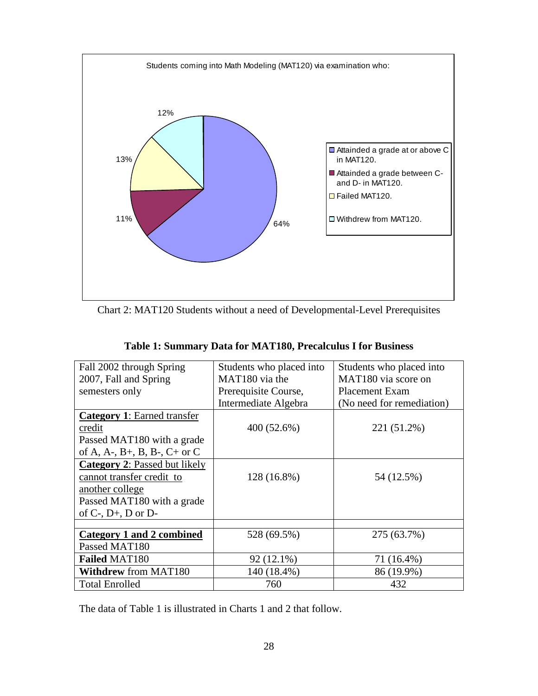

Chart 2: MAT120 Students without a need of Developmental-Level Prerequisites

| Fall 2002 through Spring             | Students who placed into   | Students who placed into  |  |  |
|--------------------------------------|----------------------------|---------------------------|--|--|
| 2007, Fall and Spring                | MAT <sub>180</sub> via the | MAT180 via score on       |  |  |
| semesters only                       | Prerequisite Course,       | <b>Placement Exam</b>     |  |  |
|                                      | Intermediate Algebra       | (No need for remediation) |  |  |
| <b>Category 1: Earned transfer</b>   |                            |                           |  |  |
| credit                               | 400 (52.6%)                | 221 (51.2%)               |  |  |
| Passed MAT180 with a grade           |                            |                           |  |  |
| of A, A-, B+, B, B-, C+ or C         |                            |                           |  |  |
| <b>Category 2: Passed but likely</b> |                            |                           |  |  |
| cannot transfer credit to            | 128 (16.8%)                | 54 (12.5%)                |  |  |
| another college                      |                            |                           |  |  |
| Passed MAT180 with a grade           |                            |                           |  |  |
| of $C$ -, $D$ +, $D$ or $D$ -        |                            |                           |  |  |
|                                      |                            |                           |  |  |
| <b>Category 1 and 2 combined</b>     | 528 (69.5%)                | 275 (63.7%)               |  |  |
| Passed MAT180                        |                            |                           |  |  |
| <b>Failed MAT180</b>                 | 92 (12.1%)                 | 71 (16.4%)                |  |  |
| <b>Withdrew from MAT180</b>          | 140 (18.4%)                | 86 (19.9%)                |  |  |
| <b>Total Enrolled</b>                | 760                        | 432                       |  |  |

The data of Table 1 is illustrated in Charts 1 and 2 that follow.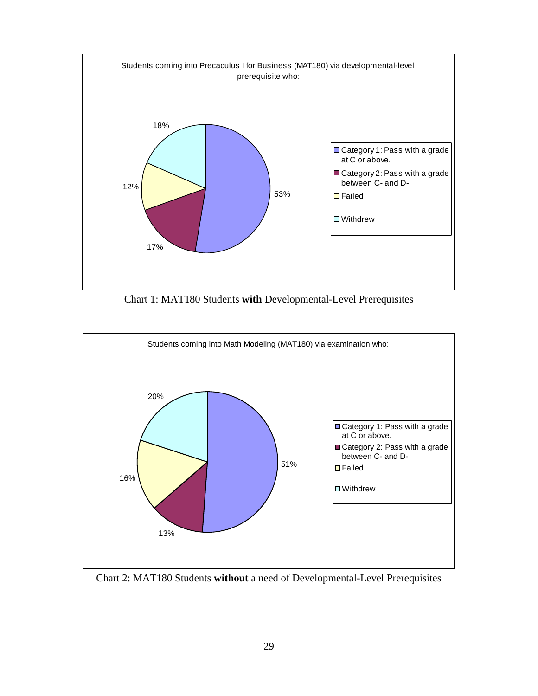

Chart 1: MAT180 Students **with** Developmental-Level Prerequisites



Chart 2: MAT180 Students **without** a need of Developmental-Level Prerequisites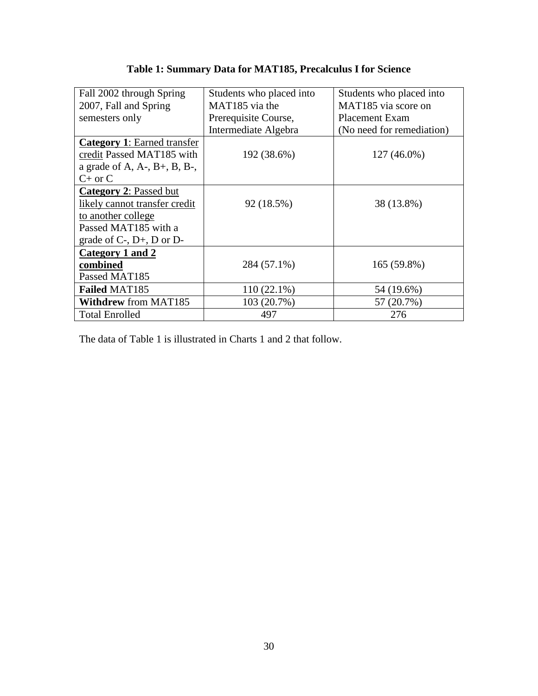| Fall 2002 through Spring                    | Students who placed into | Students who placed into  |  |
|---------------------------------------------|--------------------------|---------------------------|--|
| 2007, Fall and Spring                       | MAT185 via the           | MAT185 via score on       |  |
| semesters only                              | Prerequisite Course,     | <b>Placement Exam</b>     |  |
|                                             | Intermediate Algebra     | (No need for remediation) |  |
| <b>Category 1: Earned transfer</b>          |                          |                           |  |
| credit Passed MAT185 with                   | 192 (38.6%)              | 127 (46.0%)               |  |
| a grade of $A$ , $A$ -, $B$ +, $B$ , $B$ -, |                          |                           |  |
| $C+$ or $C$                                 |                          |                           |  |
| <b>Category 2: Passed but</b>               |                          |                           |  |
| likely cannot transfer credit               | 92 (18.5%)               | 38 (13.8%)                |  |
| to another college                          |                          |                           |  |
| Passed MAT185 with a                        |                          |                           |  |
| grade of $C$ -, $D$ +, $D$ or $D$ -         |                          |                           |  |
| Category 1 and 2                            |                          |                           |  |
| combined                                    | 284 (57.1%)              | 165 (59.8%)               |  |
| Passed MAT185                               |                          |                           |  |
| <b>Failed MAT185</b>                        | $110(22.1\%)$            | 54 (19.6%)                |  |
| <b>Withdrew from MAT185</b>                 | 103 (20.7%)              | 57 (20.7%)                |  |
| <b>Total Enrolled</b>                       | 497                      | 276                       |  |

## **Table 1: Summary Data for MAT185, Precalculus I for Science**

The data of Table 1 is illustrated in Charts 1 and 2 that follow.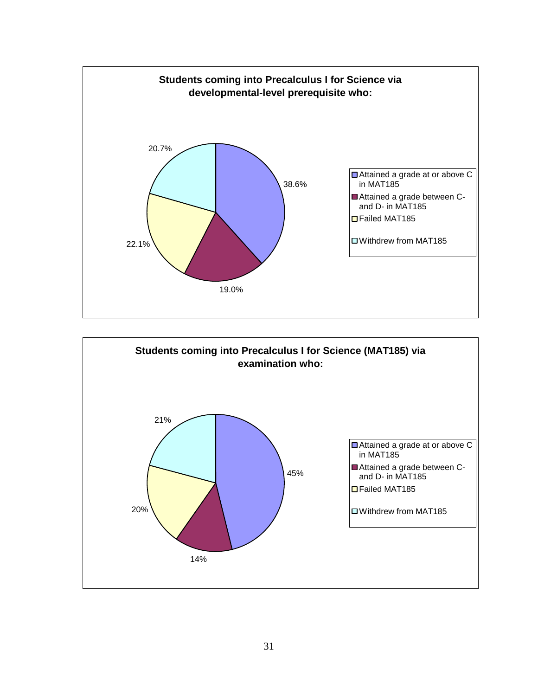

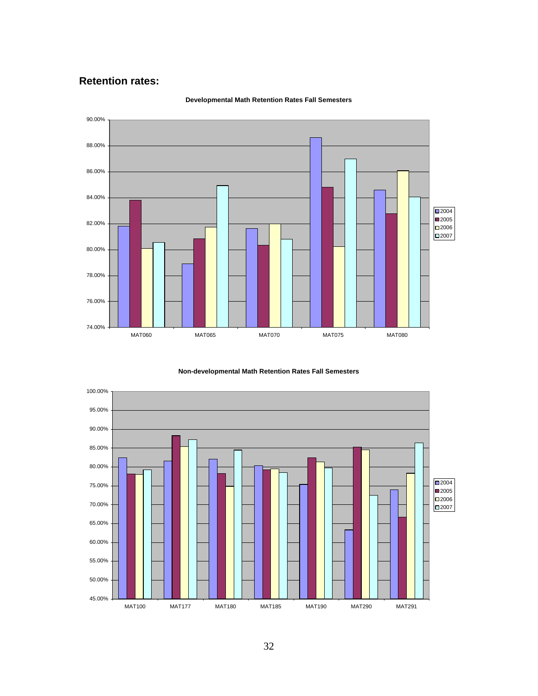#### **Retention rates:**



#### **Developmental Math Retention Rates Fall Semesters**



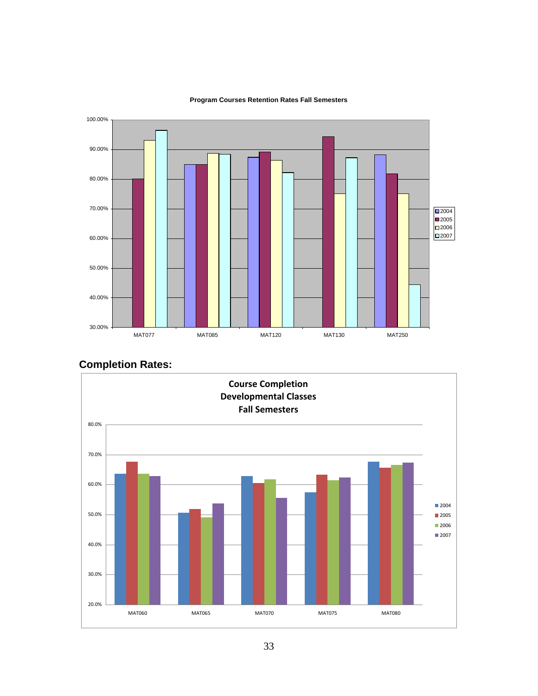

#### **Program Courses Retention Rates Fall Semesters**

# **Completion Rates:**

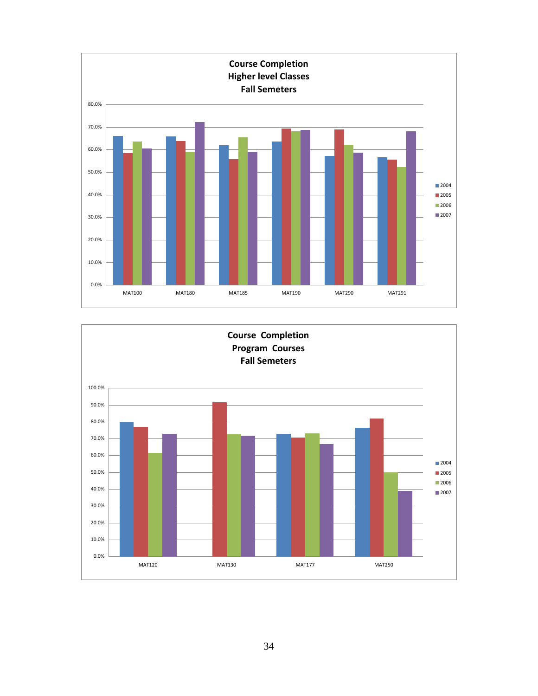

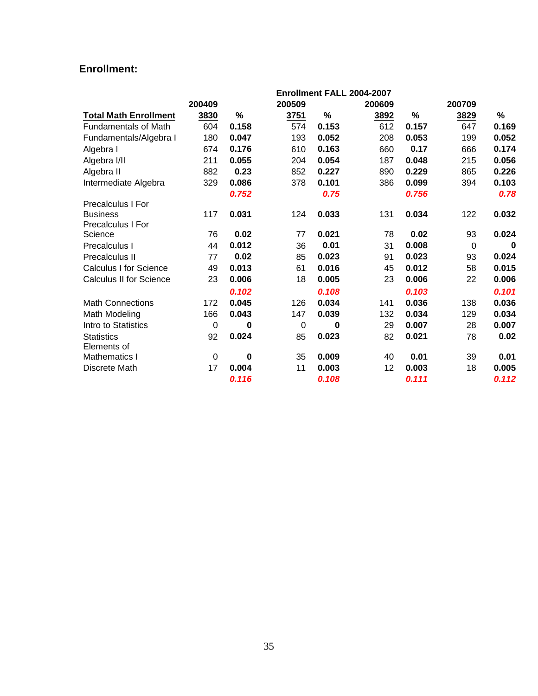## **Enrollment:**

|                                |        |          |        |       | Enrollment FALL 2004-2007 |       |          |       |
|--------------------------------|--------|----------|--------|-------|---------------------------|-------|----------|-------|
|                                | 200409 |          | 200509 |       | 200609                    |       | 200709   |       |
| <b>Total Math Enrollment</b>   | 3830   | %        | 3751   | %     | 3892                      | %     | 3829     | %     |
| <b>Fundamentals of Math</b>    | 604    | 0.158    | 574    | 0.153 | 612                       | 0.157 | 647      | 0.169 |
| Fundamentals/Algebra I         | 180    | 0.047    | 193    | 0.052 | 208                       | 0.053 | 199      | 0.052 |
| Algebra I                      | 674    | 0.176    | 610    | 0.163 | 660                       | 0.17  | 666      | 0.174 |
| Algebra I/II                   | 211    | 0.055    | 204    | 0.054 | 187                       | 0.048 | 215      | 0.056 |
| Algebra II                     | 882    | 0.23     | 852    | 0.227 | 890                       | 0.229 | 865      | 0.226 |
| Intermediate Algebra           | 329    | 0.086    | 378    | 0.101 | 386                       | 0.099 | 394      | 0.103 |
|                                |        | 0.752    |        | 0.75  |                           | 0.756 |          | 0.78  |
| <b>Precalculus I For</b>       |        |          |        |       |                           |       |          |       |
| <b>Business</b>                | 117    | 0.031    | 124    | 0.033 | 131                       | 0.034 | 122      | 0.032 |
| <b>Precalculus I For</b>       |        |          |        |       |                           |       |          |       |
| Science                        | 76     | 0.02     | 77     | 0.021 | 78                        | 0.02  | 93       | 0.024 |
| Precalculus I                  | 44     | 0.012    | 36     | 0.01  | 31                        | 0.008 | $\Omega$ | 0     |
| <b>Precalculus II</b>          | 77     | 0.02     | 85     | 0.023 | 91                        | 0.023 | 93       | 0.024 |
| <b>Calculus I for Science</b>  | 49     | 0.013    | 61     | 0.016 | 45                        | 0.012 | 58       | 0.015 |
| <b>Calculus II for Science</b> | 23     | 0.006    | 18     | 0.005 | 23                        | 0.006 | 22       | 0.006 |
|                                |        | 0.102    |        | 0.108 |                           | 0.103 |          | 0.101 |
| <b>Math Connections</b>        | 172    | 0.045    | 126    | 0.034 | 141                       | 0.036 | 138      | 0.036 |
| Math Modeling                  | 166    | 0.043    | 147    | 0.039 | 132                       | 0.034 | 129      | 0.034 |
| Intro to Statistics            | 0      | 0        | 0      | 0     | 29                        | 0.007 | 28       | 0.007 |
| <b>Statistics</b>              | 92     | 0.024    | 85     | 0.023 | 82                        | 0.021 | 78       | 0.02  |
| Elements of                    |        |          |        |       |                           |       |          |       |
| <b>Mathematics I</b>           | 0      | $\bf{0}$ | 35     | 0.009 | 40                        | 0.01  | 39       | 0.01  |
| Discrete Math                  | 17     | 0.004    | 11     | 0.003 | 12                        | 0.003 | 18       | 0.005 |
|                                |        | 0.116    |        | 0.108 |                           | 0.111 |          | 0.112 |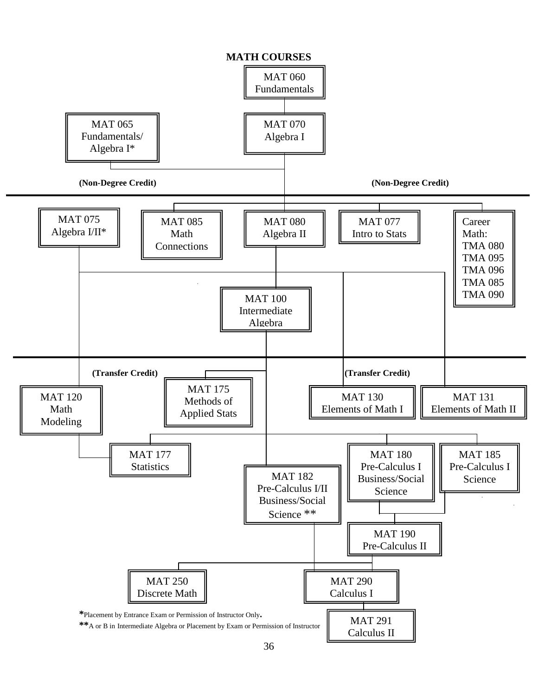